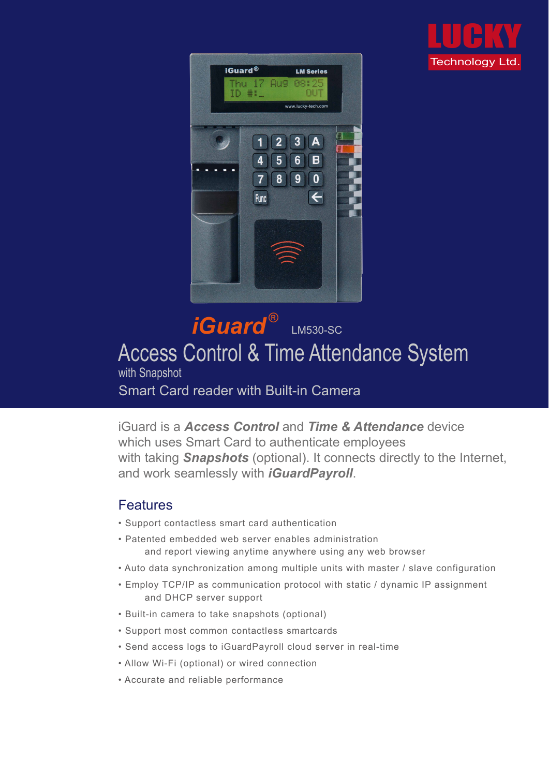iGuard is a *Access Control* and *Time & Attendance* device which uses Smart Card to authenticate employees with taking *Snapshots* (optional). It connects directly to the Internet, and work seamlessly with *iGuardPayroll*.

#### Features

# *iGuard* LM530-SC Access Control & Time Attendance System with Snapshot Smart Card reader with Built-in Camera ®

- Support contactless smart card authentication
- Patented embedded web server enables administration and report viewing anytime anywhere using any web browser
- Auto data synchronization among multiple units with master / slave configuration
- Employ TCP/IP as communication protocol with static / dynamic IP assignment and DHCP server support
- Built-in camera to take snapshots (optional)
- Support most common contactless smartcards
- Send access logs to iGuardPayroll cloud server in real-time
- Allow Wi-Fi (optional) or wired connection
- Accurate and reliable performance



LUCKY Technology Ltd.